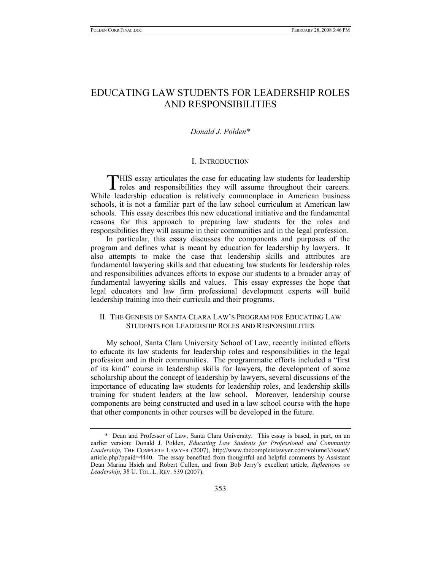# EDUCATING LAW STUDENTS FOR LEADERSHIP ROLES AND RESPONSIBILITIES

# *Donald J. Polden\**

#### I. INTRODUCTION

**THIS** essay articulates the case for educating law students for leadership THIS essay articulates the case for educating law students for leadership roles and responsibilities they will assume throughout their careers. While leadership education is relatively commonplace in American business schools, it is not a familiar part of the law school curriculum at American law schools. This essay describes this new educational initiative and the fundamental reasons for this approach to preparing law students for the roles and responsibilities they will assume in their communities and in the legal profession.

In particular, this essay discusses the components and purposes of the program and defines what is meant by education for leadership by lawyers. It also attempts to make the case that leadership skills and attributes are fundamental lawyering skills and that educating law students for leadership roles and responsibilities advances efforts to expose our students to a broader array of fundamental lawyering skills and values. This essay expresses the hope that legal educators and law firm professional development experts will build leadership training into their curricula and their programs.

# II. THE GENESIS OF SANTA CLARA LAW'S PROGRAM FOR EDUCATING LAW STUDENTS FOR LEADERSHIP ROLES AND RESPONSIBILITIES

My school, Santa Clara University School of Law, recently initiated efforts to educate its law students for leadership roles and responsibilities in the legal profession and in their communities. The programmatic efforts included a "first of its kind" course in leadership skills for lawyers, the development of some scholarship about the concept of leadership by lawyers, several discussions of the importance of educating law students for leadership roles, and leadership skills training for student leaders at the law school. Moreover, leadership course components are being constructed and used in a law school course with the hope that other components in other courses will be developed in the future.

 <sup>\*</sup> Dean and Professor of Law, Santa Clara University. This essay is based, in part, on an earlier version: Donald J. Polden, *Educating Law Students for Professional and Community Leadership*, THE COMPLETE LAWYER (2007), http://www.thecompletelawyer.com/volume3/issue5/ article.php?ppaid=4440. The essay benefited from thoughtful and helpful comments by Assistant Dean Marina Hsieh and Robert Cullen, and from Bob Jerry's excellent article, *Reflections on Leadership*, 38 U. TOL. L. REV. 539 (2007).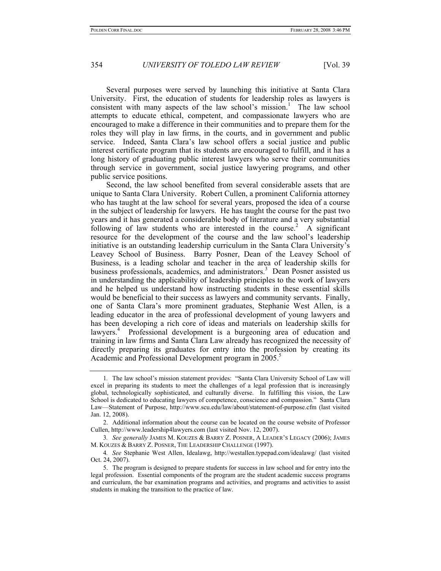Several purposes were served by launching this initiative at Santa Clara University. First, the education of students for leadership roles as lawyers is consistent with many aspects of the law school's mission.<sup>1</sup> The law school attempts to educate ethical, competent, and compassionate lawyers who are encouraged to make a difference in their communities and to prepare them for the roles they will play in law firms, in the courts, and in government and public service. Indeed, Santa Clara's law school offers a social justice and public interest certificate program that its students are encouraged to fulfill, and it has a long history of graduating public interest lawyers who serve their communities through service in government, social justice lawyering programs, and other public service positions.

Second, the law school benefited from several considerable assets that are unique to Santa Clara University. Robert Cullen, a prominent California attorney who has taught at the law school for several years, proposed the idea of a course in the subject of leadership for lawyers. He has taught the course for the past two years and it has generated a considerable body of literature and a very substantial following of law students who are interested in the course.<sup>2</sup>  $\dot{A}$  significant resource for the development of the course and the law school's leadership initiative is an outstanding leadership curriculum in the Santa Clara University's Leavey School of Business. Barry Posner, Dean of the Leavey School of Business, is a leading scholar and teacher in the area of leadership skills for business professionals, academics, and administrators.<sup>3</sup> Dean Posner assisted us in understanding the applicability of leadership principles to the work of lawyers and he helped us understand how instructing students in these essential skills would be beneficial to their success as lawyers and community servants. Finally, one of Santa Clara's more prominent graduates, Stephanie West Allen, is a leading educator in the area of professional development of young lawyers and has been developing a rich core of ideas and materials on leadership skills for lawyers.<sup>4</sup> Professional development is a burgeoning area of education and training in law firms and Santa Clara Law already has recognized the necessity of directly preparing its graduates for entry into the profession by creating its Academic and Professional Development program in 2005.<sup>5</sup>

<sup>1</sup>*.* The law school's mission statement provides: "Santa Clara University School of Law will excel in preparing its students to meet the challenges of a legal profession that is increasingly global, technologically sophisticated, and culturally diverse. In fulfilling this vision, the Law School is dedicated to educating lawyers of competence, conscience and compassion." Santa Clara Law—Statement of Purpose, http://www.scu.edu/law/about/statement-of-purpose.cfm (last visited Jan. 12, 2008).

 <sup>2.</sup> Additional information about the course can be located on the course website of Professor Cullen, http://www.leadership4lawyers.com (last visited Nov. 12, 2007).

<sup>3</sup>*. See generally* JAMES M. KOUZES & BARRY Z. POSNER, A LEADER'S LEGACY (2006); JAMES M. KOUZES & BARRY Z. POSNER, THE LEADERSHIP CHALLENGE (1997).

<sup>4</sup>*. See* Stephanie West Allen, Idealawg, http://westallen.typepad.com/idealawg/ (last visited Oct. 24, 2007).

 <sup>5.</sup> The program is designed to prepare students for success in law school and for entry into the legal profession. Essential components of the program are the student academic success programs and curriculum, the bar examination programs and activities, and programs and activities to assist students in making the transition to the practice of law.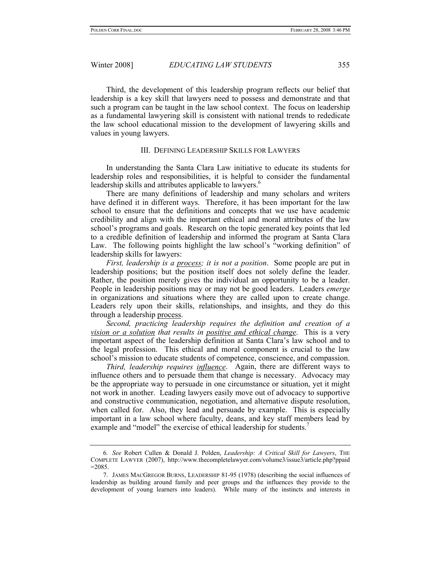Winter 2008] *EDUCATING LAW STUDENTS* 355

Third, the development of this leadership program reflects our belief that leadership is a key skill that lawyers need to possess and demonstrate and that such a program can be taught in the law school context. The focus on leadership as a fundamental lawyering skill is consistent with national trends to rededicate the law school educational mission to the development of lawyering skills and values in young lawyers.

## III. DEFINING LEADERSHIP SKILLS FOR LAWYERS

In understanding the Santa Clara Law initiative to educate its students for leadership roles and responsibilities, it is helpful to consider the fundamental leadership skills and attributes applicable to lawyers.<sup>6</sup>

There are many definitions of leadership and many scholars and writers have defined it in different ways. Therefore, it has been important for the law school to ensure that the definitions and concepts that we use have academic credibility and align with the important ethical and moral attributes of the law school's programs and goals. Research on the topic generated key points that led to a credible definition of leadership and informed the program at Santa Clara Law. The following points highlight the law school's "working definition" of leadership skills for lawyers:

*First, leadership is a process; it is not a position*. Some people are put in leadership positions; but the position itself does not solely define the leader. Rather, the position merely gives the individual an opportunity to be a leader. People in leadership positions may or may not be good leaders. Leaders *emerge* in organizations and situations where they are called upon to create change. Leaders rely upon their skills, relationships, and insights, and they do this through a leadership process.

*Second, practicing leadership requires the definition and creation of a vision or a solution that results in positive and ethical change*. This is a very important aspect of the leadership definition at Santa Clara's law school and to the legal profession. This ethical and moral component is crucial to the law school's mission to educate students of competence, conscience, and compassion.

*Third, leadership requires influence*. Again, there are different ways to influence others and to persuade them that change is necessary. Advocacy may be the appropriate way to persuade in one circumstance or situation, yet it might not work in another. Leading lawyers easily move out of advocacy to supportive and constructive communication, negotiation, and alternative dispute resolution, when called for. Also, they lead and persuade by example. This is especially important in a law school where faculty, deans, and key staff members lead by example and "model" the exercise of ethical leadership for students.<sup>7</sup>

<sup>6</sup>*. See* Robert Cullen & Donald J. Polden, *Leadership: A Critical Skill for Lawyers*, THE COMPLETE LAWYER (2007), http://www.thecompletelawyer.com/volume3/issue3/article.php?ppaid  $=2085$ 

 <sup>7.</sup> JAMES MACGREGOR BURNS, LEADERSHIP 81-95 (1978) (describing the social influences of leadership as building around family and peer groups and the influences they provide to the development of young learners into leaders). While many of the instincts and interests in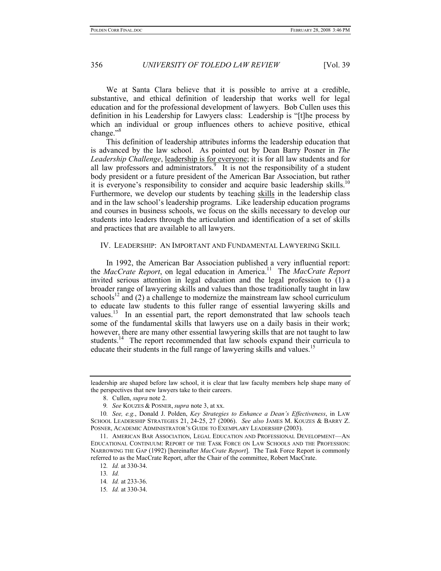We at Santa Clara believe that it is possible to arrive at a credible, substantive, and ethical definition of leadership that works well for legal education and for the professional development of lawyers. Bob Cullen uses this definition in his Leadership for Lawyers class: Leadership is "[t]he process by which an individual or group influences others to achieve positive, ethical change."<sup>8</sup>

This definition of leadership attributes informs the leadership education that is advanced by the law school. As pointed out by Dean Barry Posner in *The Leadership Challenge*, leadership is for everyone; it is for all law students and for all law professors and  $\overline{\text{administrators}}$ .<sup>9</sup> It is not the responsibility of a student body president or a future president of the American Bar Association, but rather it is everyone's responsibility to consider and acquire basic leadership skills.<sup>10</sup> Furthermore, we develop our students by teaching skills in the leadership class and in the law school's leadership programs. Like leadership education programs and courses in business schools, we focus on the skills necessary to develop our students into leaders through the articulation and identification of a set of skills and practices that are available to all lawyers.

## IV. LEADERSHIP: AN IMPORTANT AND FUNDAMENTAL LAWYERING SKILL

In 1992, the American Bar Association published a very influential report: the *MacCrate Report*, on legal education in America.11 The *MacCrate Report* invited serious attention in legal education and the legal profession to (1) a broader range of lawyering skills and values than those traditionally taught in law schools<sup>12</sup> and (2) a challenge to modernize the mainstream law school curriculum to educate law students to this fuller range of essential lawyering skills and values.<sup>13</sup> In an essential part, the report demonstrated that law schools teach some of the fundamental skills that lawyers use on a daily basis in their work; however, there are many other essential lawyering skills that are not taught to law students.<sup>14</sup> The report recommended that law schools expand their curricula to educate their students in the full range of lawyering skills and values.<sup>15</sup>

leadership are shaped before law school, it is clear that law faculty members help shape many of the perspectives that new lawyers take to their careers.

 <sup>8.</sup> Cullen, *supra* note 2.

<sup>9</sup>*. See* KOUZES & POSNER, *supra* note 3, at xx.

<sup>10</sup>*. See, e.g.*, Donald J. Polden, *Key Strategies to Enhance a Dean's Effectiveness*, in LAW SCHOOL LEADERSHIP STRATEGIES 21, 24-25, 27 (2006). *See also* JAMES M. KOUZES & BARRY Z. POSNER, ACADEMIC ADMINISTRATOR'S GUIDE TO EXEMPLARY LEADERSHIP (2003).

 <sup>11.</sup> AMERICAN BAR ASSOCIATION, LEGAL EDUCATION AND PROFESSIONAL DEVELOPMENT—AN EDUCATIONAL CONTINUUM: REPORT OF THE TASK FORCE ON LAW SCHOOLS AND THE PROFESSION: NARROWING THE GAP (1992) [hereinafter *MacCrate Report*]. The Task Force Report is commonly referred to as the MacCrate Report, after the Chair of the committee, Robert MacCrate.

<sup>12</sup>*. Id.* at 330-34.

<sup>13</sup>*. Id.*

<sup>14</sup>*. Id.* at 233-36.

<sup>15</sup>*. Id.* at 330-34.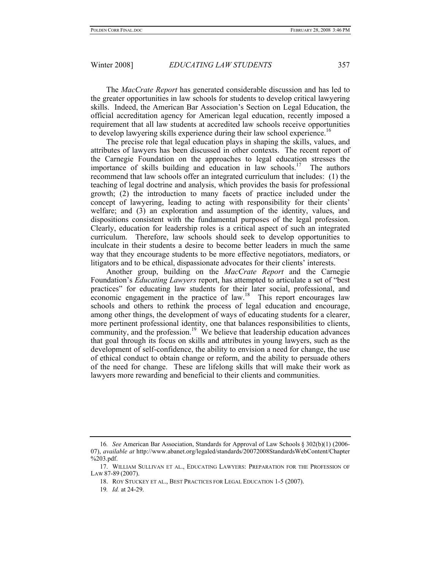#### Winter 2008] *EDUCATING LAW STUDENTS* 357

The *MacCrate Report* has generated considerable discussion and has led to the greater opportunities in law schools for students to develop critical lawyering skills. Indeed, the American Bar Association's Section on Legal Education, the official accreditation agency for American legal education, recently imposed a requirement that all law students at accredited law schools receive opportunities to develop lawyering skills experience during their law school experience.<sup>16</sup>

The precise role that legal education plays in shaping the skills, values, and attributes of lawyers has been discussed in other contexts. The recent report of the Carnegie Foundation on the approaches to legal education stresses the importance of skills building and education in law schools.<sup>17</sup> The authors recommend that law schools offer an integrated curriculum that includes: (1) the teaching of legal doctrine and analysis, which provides the basis for professional growth; (2) the introduction to many facets of practice included under the concept of lawyering, leading to acting with responsibility for their clients' welfare; and (3) an exploration and assumption of the identity, values, and dispositions consistent with the fundamental purposes of the legal profession. Clearly, education for leadership roles is a critical aspect of such an integrated curriculum. Therefore, law schools should seek to develop opportunities to inculcate in their students a desire to become better leaders in much the same way that they encourage students to be more effective negotiators, mediators, or litigators and to be ethical, dispassionate advocates for their clients' interests.

Another group, building on the *MacCrate Report* and the Carnegie Foundation's *Educating Lawyers* report, has attempted to articulate a set of "best practices" for educating law students for their later social, professional, and economic engagement in the practice of law.<sup>18</sup> This report encourages law schools and others to rethink the process of legal education and encourage, among other things, the development of ways of educating students for a clearer, more pertinent professional identity, one that balances responsibilities to clients, community, and the profession.<sup>19</sup> We believe that leadership education advances that goal through its focus on skills and attributes in young lawyers, such as the development of self-confidence, the ability to envision a need for change, the use of ethical conduct to obtain change or reform, and the ability to persuade others of the need for change. These are lifelong skills that will make their work as lawyers more rewarding and beneficial to their clients and communities.

<sup>16</sup>*. See* American Bar Association, Standards for Approval of Law Schools § 302(b)(1) (2006- 07), *available at* http://www.abanet.org/legaled/standards/20072008StandardsWebContent/Chapter %203.pdf.

 <sup>17.</sup> WILLIAM SULLIVAN ET AL., EDUCATING LAWYERS: PREPARATION FOR THE PROFESSION OF LAW 87-89 (2007).

 <sup>18.</sup> ROY STUCKEY ET AL., BEST PRACTICES FOR LEGAL EDUCATION 1-5 (2007).

<sup>19</sup>*. Id.* at 24-29.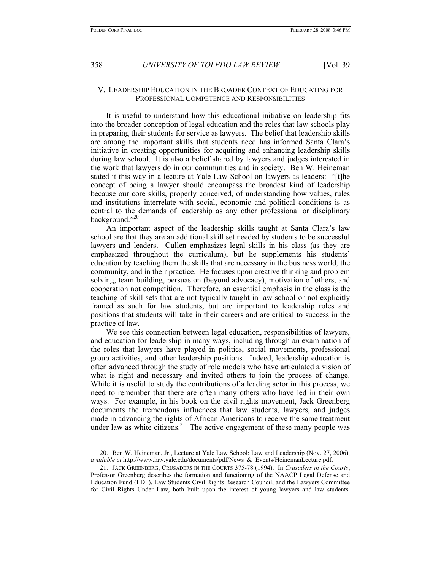## V. LEADERSHIP EDUCATION IN THE BROADER CONTEXT OF EDUCATING FOR PROFESSIONAL COMPETENCE AND RESPONSIBILITIES

It is useful to understand how this educational initiative on leadership fits into the broader conception of legal education and the roles that law schools play in preparing their students for service as lawyers. The belief that leadership skills are among the important skills that students need has informed Santa Clara's initiative in creating opportunities for acquiring and enhancing leadership skills during law school. It is also a belief shared by lawyers and judges interested in the work that lawyers do in our communities and in society. Ben W. Heineman stated it this way in a lecture at Yale Law School on lawyers as leaders: "[t]he concept of being a lawyer should encompass the broadest kind of leadership because our core skills, properly conceived, of understanding how values, rules and institutions interrelate with social, economic and political conditions is as central to the demands of leadership as any other professional or disciplinary background."<sup>20</sup>

An important aspect of the leadership skills taught at Santa Clara's law school are that they are an additional skill set needed by students to be successful lawyers and leaders. Cullen emphasizes legal skills in his class (as they are emphasized throughout the curriculum), but he supplements his students' education by teaching them the skills that are necessary in the business world, the community, and in their practice. He focuses upon creative thinking and problem solving, team building, persuasion (beyond advocacy), motivation of others, and cooperation not competition. Therefore, an essential emphasis in the class is the teaching of skill sets that are not typically taught in law school or not explicitly framed as such for law students, but are important to leadership roles and positions that students will take in their careers and are critical to success in the practice of law.

We see this connection between legal education, responsibilities of lawyers, and education for leadership in many ways, including through an examination of the roles that lawyers have played in politics, social movements, professional group activities, and other leadership positions. Indeed, leadership education is often advanced through the study of role models who have articulated a vision of what is right and necessary and invited others to join the process of change. While it is useful to study the contributions of a leading actor in this process, we need to remember that there are often many others who have led in their own ways. For example, in his book on the civil rights movement, Jack Greenberg documents the tremendous influences that law students, lawyers, and judges made in advancing the rights of African Americans to receive the same treatment under law as white citizens.<sup>21</sup> The active engagement of these many people was

 <sup>20.</sup> Ben W. Heineman, Jr., Lecture at Yale Law School: Law and Leadership (Nov. 27, 2006), *available at* http://www.law.yale.edu/documents/pdf/News\_&\_Events/HeinemanLecture.pdf.

 <sup>21.</sup> JACK GREENBERG, CRUSADERS IN THE COURTS 375-78 (1994). In *Crusaders in the Courts*, Professor Greenberg describes the formation and functioning of the NAACP Legal Defense and Education Fund (LDF), Law Students Civil Rights Research Council, and the Lawyers Committee for Civil Rights Under Law, both built upon the interest of young lawyers and law students.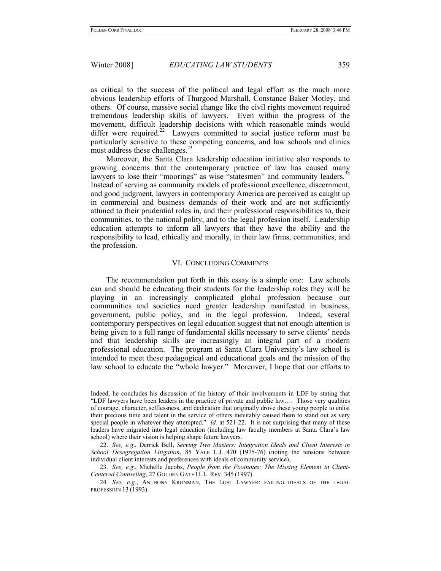Winter 2008] *EDUCATING LAW STUDENTS* 359

as critical to the success of the political and legal effort as the much more obvious leadership efforts of Thurgood Marshall, Constance Baker Motley, and others. Of course, massive social change like the civil rights movement required tremendous leadership skills of lawyers. Even within the progress of the movement, difficult leadership decisions with which reasonable minds would differ were required.<sup>22</sup> Lawyers committed to social justice reform must be particularly sensitive to these competing concerns, and law schools and clinics must address these challenges. $^{23}$ 

Moreover, the Santa Clara leadership education initiative also responds to growing concerns that the contemporary practice of law has caused many lawyers to lose their "moorings" as wise "statesmen" and community leaders.<sup>2</sup> Instead of serving as community models of professional excellence, discernment, and good judgment, lawyers in contemporary America are perceived as caught up in commercial and business demands of their work and are not sufficiently attuned to their prudential roles in, and their professional responsibilities to, their communities, to the national polity, and to the legal profession itself. Leadership education attempts to inform all lawyers that they have the ability and the responsibility to lead, ethically and morally, in their law firms, communities, and the profession.

#### VI. CONCLUDING COMMENTS

The recommendation put forth in this essay is a simple one: Law schools can and should be educating their students for the leadership roles they will be playing in an increasingly complicated global profession because our communities and societies need greater leadership manifested in business, government, public policy, and in the legal profession. Indeed, several contemporary perspectives on legal education suggest that not enough attention is being given to a full range of fundamental skills necessary to serve clients' needs and that leadership skills are increasingly an integral part of a modern professional education. The program at Santa Clara University's law school is intended to meet these pedagogical and educational goals and the mission of the law school to educate the "whole lawyer." Moreover, I hope that our efforts to

 23. *See, e.g*., Michelle Jacobs, *People from the Footnotes: The Missing Element in Client-Centered Counseling*, 27 GOLDEN GATE U. L. REV. 345 (1997).

Indeed, he concludes his discussion of the history of their involvements in LDF by stating that "LDF lawyers have been leaders in the practice of private and public law…. Those very qualities of courage, character, selflessness, and dedication that originally drove these young people to enlist their precious time and talent in the service of others inevitably caused them to stand out as very special people in whatever they attempted." *Id.* at 521-22. It is not surprising that many of these leaders have migrated into legal education (including law faculty members at Santa Clara's law school) where their vision is helping shape future lawyers.

 <sup>22.</sup> *See, e.g*., Derrick Bell, *Serving Two Masters: Integration Ideals and Client Interests in School Desegregation Litigation*, 85 YALE L.J. 470 (1975-76) (noting the tensions between individual client interests and preferences with ideals of community service).

<sup>24</sup>*. See, e.g.*, ANTHONY KRONMAN, THE LOST LAWYER: FAILING IDEALS OF THE LEGAL PROFESSION 13 (1993).